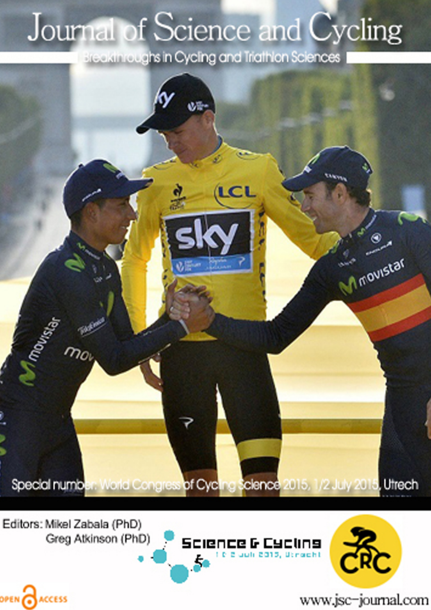## Journal of Science and Cycling

Breakthroughs in Cycling and Triathlon Sciences



Editors: Mikel Zabala (PhD) Greg Atkinson (PhD)

OPEN CACCESS





www.jsc-journal.com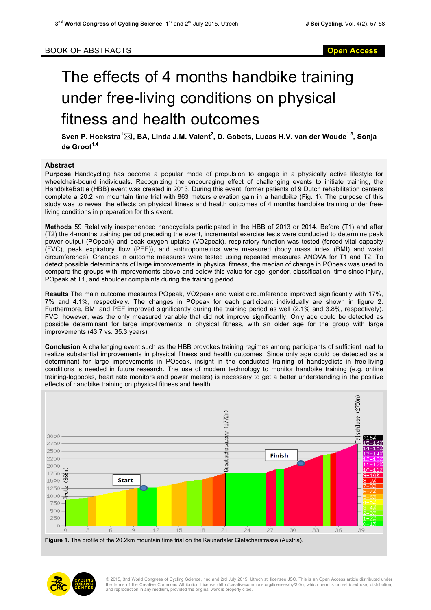## BOOK OF ABSTRACTS **Open Access**

## The effects of 4 months handbike training under free-living conditions on physical fitness and health outcomes

**Sven P. Hoekstra<sup>1</sup>** \***, BA, Linda J.M. Valent<sup>2</sup> , D. Gobets, Lucas H.V. van der Woude1,3, Sonja de Groot1,4**

## **Abstract**

**Purpose** Handcycling has become a popular mode of propulsion to engage in a physically active lifestyle for wheelchair-bound individuals. Recognizing the encouraging effect of challenging events to initiate training, the HandbikeBattle (HBB) event was created in 2013. During this event, former patients of 9 Dutch rehabilitation centers complete a 20.2 km mountain time trial with 863 meters elevation gain in a handbike (Fig. 1). The purpose of this study was to reveal the effects on physical fitness and health outcomes of 4 months handbike training under freeliving conditions in preparation for this event.

**Methods** 59 Relatively inexperienced handcyclists participated in the HBB of 2013 or 2014. Before (T1) and after (T2) the 4-months training period preceding the event, incremental exercise tests were conducted to determine peak power output (POpeak) and peak oxygen uptake (VO2peak), respiratory function was tested (forced vital capacity (FVC), peak expiratory flow (PEF)), and anthropometrics were measured (body mass index (BMI) and waist circumference). Changes in outcome measures were tested using repeated measures ANOVA for T1 and T2. To detect possible determinants of large improvements in physical fitness, the median of change in POpeak was used to compare the groups with improvements above and below this value for age, gender, classification, time since injury, POpeak at T1, and shoulder complaints during the training period.

**Results** The main outcome measures POpeak, VO2peak and waist circumference improved significantly with 17%, 7% and 4.1%, respectively. The changes in POpeak for each participant individually are shown in figure 2. Furthermore, BMI and PEF improved significantly during the training period as well (2.1% and 3.8%, respectively). FVC, however, was the only measured variable that did not improve significantly. Only age could be detected as possible determinant for large improvements in physical fitness, with an older age for the group with large improvements (43.7 vs. 35.3 years).

**Conclusion** A challenging event such as the HBB provokes training regimes among participants of sufficient load to realize substantial improvements in physical fitness and health outcomes. Since only age could be detected as a determinant for large improvements in POpeak, insight in the conducted training of handcyclists in free-living conditions is needed in future research. The use of modern technology to monitor handbike training (e.g. online training-logbooks, heart rate monitors and power meters) is necessary to get a better understanding in the positive effects of handbike training on physical fitness and health.



**Figure 1.** The profile of the 20.2km mountain time trial on the Kaunertaler Gletscherstrasse (Austria).



© 2015, 3nd World Congress of Cycling Science, 1nd and 2rd July 2015, Utrech st; licensee JSC. This is an Open Access article distributed under the terms of the Creative Commons Attribution License (http://creativecommons.org/licenses/by/3.0/), which permits unrestricted use, distribution, and reproduction in any medium, provided the original work is properly cited.